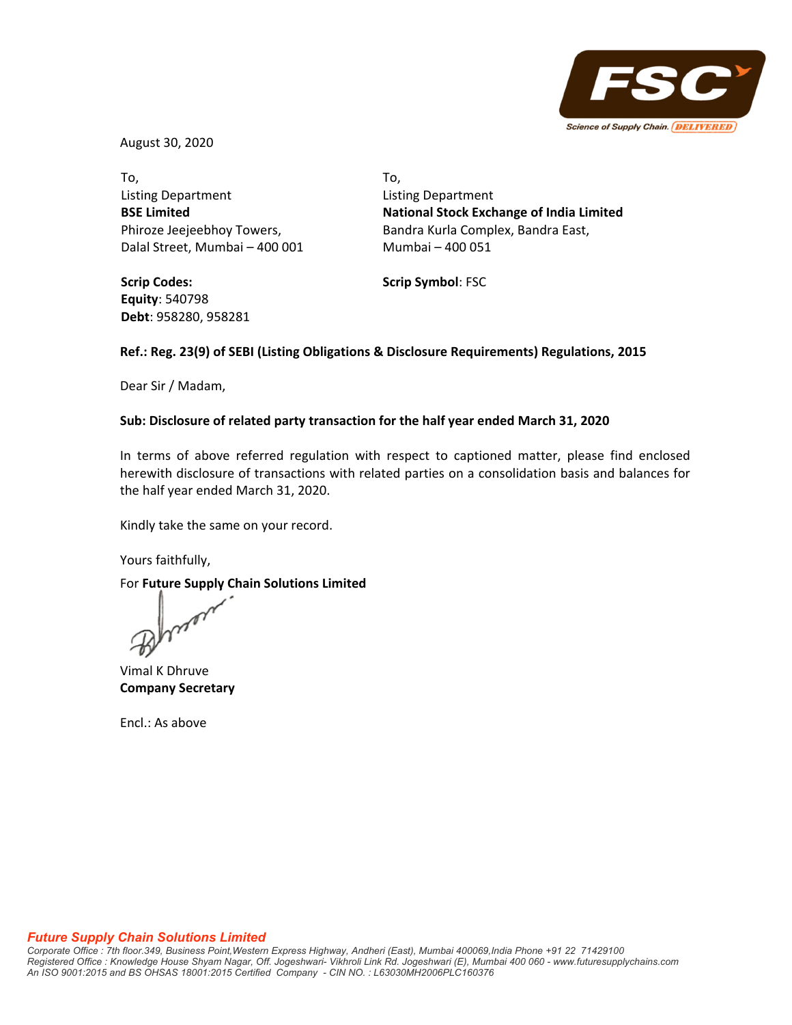

August 30, 2020

To, Listing Department **BSE Limited** Phiroze Jeejeebhoy Towers, Dalal Street, Mumbai – 400 001

**Scrip Codes: Equity**: 540798 **Debt**: 958280, 958281 To, Listing Department **National Stock Exchange of India Limited** Bandra Kurla Complex, Bandra East, Mumbai – 400 051

**Scrip Symbol**: FSC

## **Ref.: Reg. 23(9) of SEBI (Listing Obligations & Disclosure Requirements) Regulations, 2015**

Dear Sir / Madam,

### **Sub: Disclosure of related party transaction for the half year ended March 31, 2020**

In terms of above referred regulation with respect to captioned matter, please find enclosed herewith disclosure of transactions with related parties on a consolidation basis and balances for the half year ended March 31, 2020.

Kindly take the same on your record.

Yours faithfully,

For **Future Supply Chain Solutions Limited**

Vimal K Dhruve **Company Secretary**

Encl.: As above

### *Future Supply Chain Solutions Limited*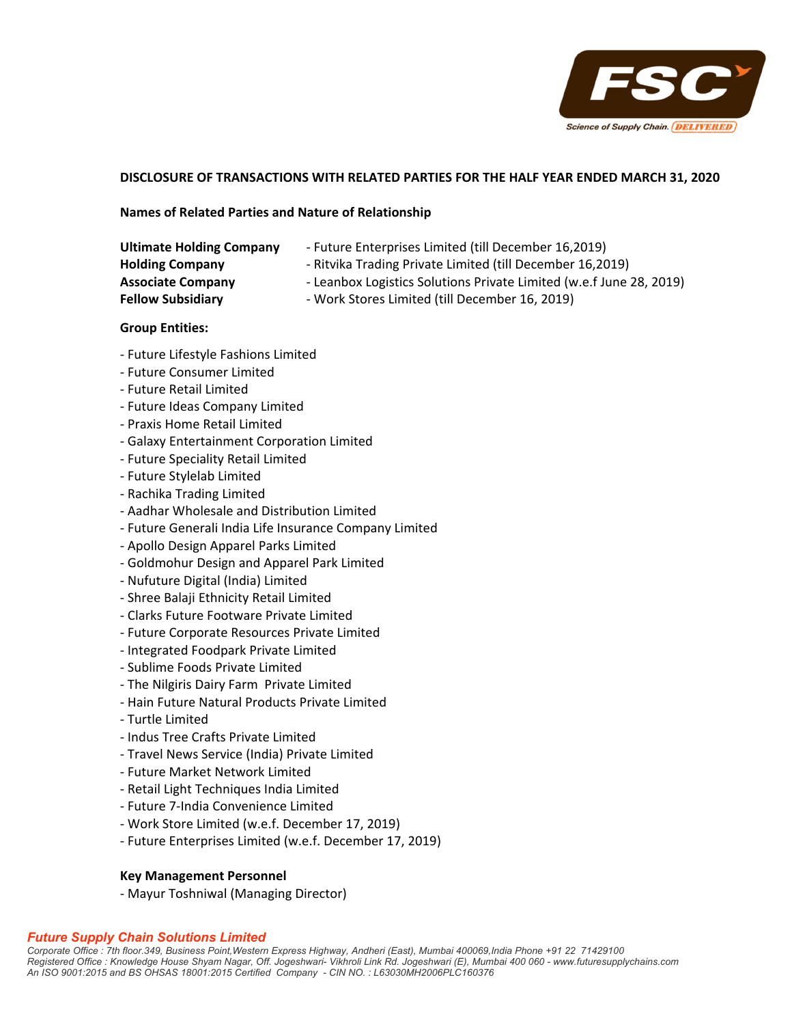

# **DISCLOSURE OF TRANSACTIONS WITH RELATED PARTIES FOR THE HALF YEAR ENDED MARCH 31, 2020**

### **Names of Related Parties and Nature of Relationship**

| <b>Ultimate Holding Company</b> | - Future Enterprises Limited (till December 16,2019)                                                                             |  |  |  |
|---------------------------------|----------------------------------------------------------------------------------------------------------------------------------|--|--|--|
| <b>Holding Company</b>          | - Ritvika Trading Private Limited (till December 16,2019)<br>- Leanbox Logistics Solutions Private Limited (w.e.f June 28, 2019) |  |  |  |
| <b>Associate Company</b>        |                                                                                                                                  |  |  |  |
| <b>Fellow Subsidiary</b>        | - Work Stores Limited (till December 16, 2019)                                                                                   |  |  |  |

## **Group Entities:**

- ‐ Future Lifestyle Fashions Limited
- ‐ Future Consumer Limited
- ‐ Future Retail Limited
- ‐ Future Ideas Company Limited
- ‐ Praxis Home Retail Limited
- ‐ Galaxy Entertainment Corporation Limited
- ‐ Future Speciality Retail Limited
- ‐ Future Stylelab Limited
- ‐ Rachika Trading Limited
- ‐ Aadhar Wholesale and Distribution Limited
- ‐ Future Generali India Life Insurance Company Limited
- ‐ Apollo Design Apparel Parks Limited
- ‐ Goldmohur Design and Apparel Park Limited
- ‐ Nufuture Digital (India) Limited
- ‐ Shree Balaji Ethnicity Retail Limited
- ‐ Clarks Future Footware Private Limited
- ‐ Future Corporate Resources Private Limited
- ‐ Integrated Foodpark Private Limited
- ‐ Sublime Foods Private Limited
- ‐ The Nilgiris Dairy Farm Private Limited
- ‐ Hain Future Natural Products Private Limited
- ‐ Turtle Limited
- ‐ Indus Tree Crafts Private Limited
- ‐ Travel News Service (India) Private Limited
- ‐ Future Market Network Limited
- ‐ Retail Light Techniques India Limited
- ‐ Future 7‐India Convenience Limited
- ‐ Work Store Limited (w.e.f. December 17, 2019)
- ‐ Future Enterprises Limited (w.e.f. December 17, 2019)

### **Key Management Personnel**

‐ Mayur Toshniwal (Managing Director)

### *Future Supply Chain Solutions Limited*